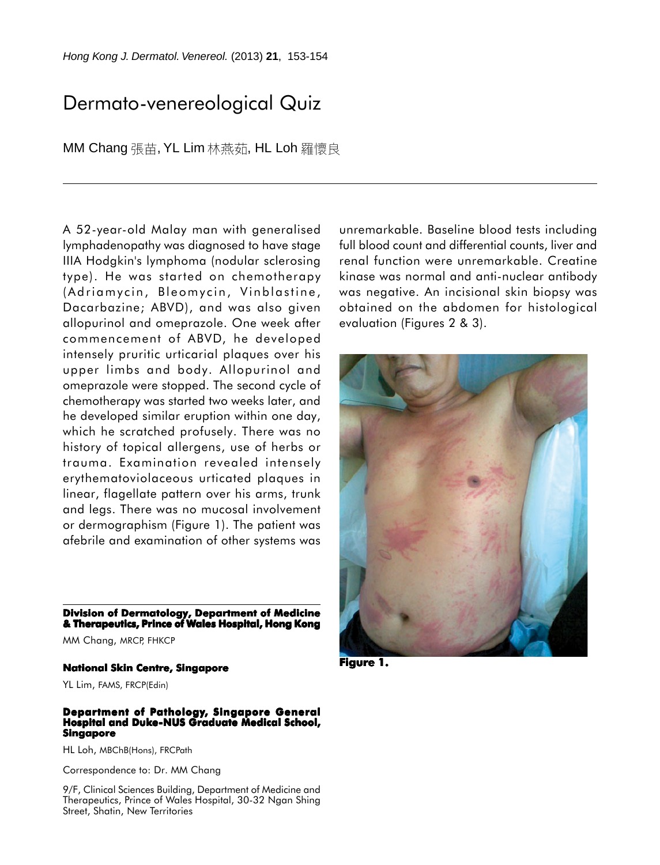# Dermato-venereological Quiz

MM Chang 張苗, YL Lim 林燕茹, HL Loh 羅懷良

A 52-year-old Malay man with generalised lymphadenopathy was diagnosed to have stage IIIA Hodgkin's lymphoma (nodular sclerosing type). He was started on chemotherapy (Adriamycin, Bleomycin, Vinblastine, Dacarbazine; ABVD), and was also given allopurinol and omeprazole. One week after commencement of ABVD, he developed intensely pruritic urticarial plaques over his upper limbs and body. Allopurinol and omeprazole were stopped. The second cycle of chemotherapy was started two weeks later, and he developed similar eruption within one day, which he scratched profusely. There was no history of topical allergens, use of herbs or trauma. Examination revealed intensely erythematoviolaceous urticated plaques in linear, flagellate pattern over his arms, trunk and legs. There was no mucosal involvement or dermographism (Figure 1). The patient was afebrile and examination of other systems was

**Division of Dermatology, Department of Medicine & Therapeutics, Prince of Wales Hospital, Hong Kong**

MM Chang, MRCP, FHKCP

#### **National Skin Centre, Singapore**

YL Lim, FAMS, FRCP(Edin)

#### **Department of Pathology, Singapore General Hospital and Duke-NUS Graduate Medical School, Singapore**

HL Loh, MBChB(Hons), FRCPath

Correspondence to: Dr. MM Chang

9/F, Clinical Sciences Building, Department of Medicine and Therapeutics, Prince of Wales Hospital, 30-32 Ngan Shing Street, Shatin, New Territories

unremarkable. Baseline blood tests including full blood count and differential counts, liver and renal function were unremarkable. Creatine kinase was normal and anti-nuclear antibody was negative. An incisional skin biopsy was obtained on the abdomen for histological evaluation (Figures 2 & 3).



**Figure 1. 1.**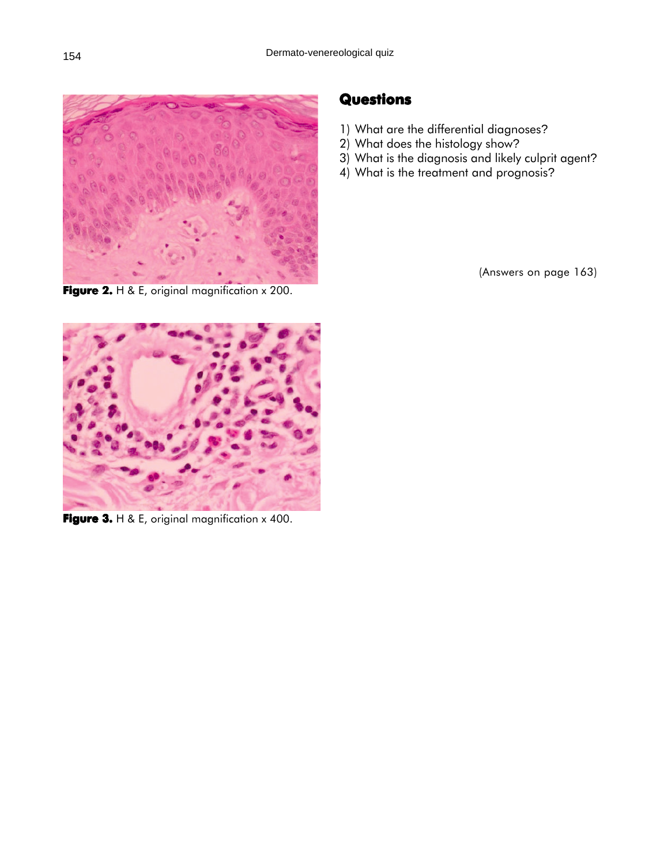

**Figure 2.** H & E, original magnification x 200.

## **Questions**

- 1) What are the differential diagnoses?
- 2) What does the histology show?
- 3) What is the diagnosis and likely culprit agent?
- 4) What is the treatment and prognosis?

(Answers on page 163)



**Figure 3.** H & E, original magnification x 400.